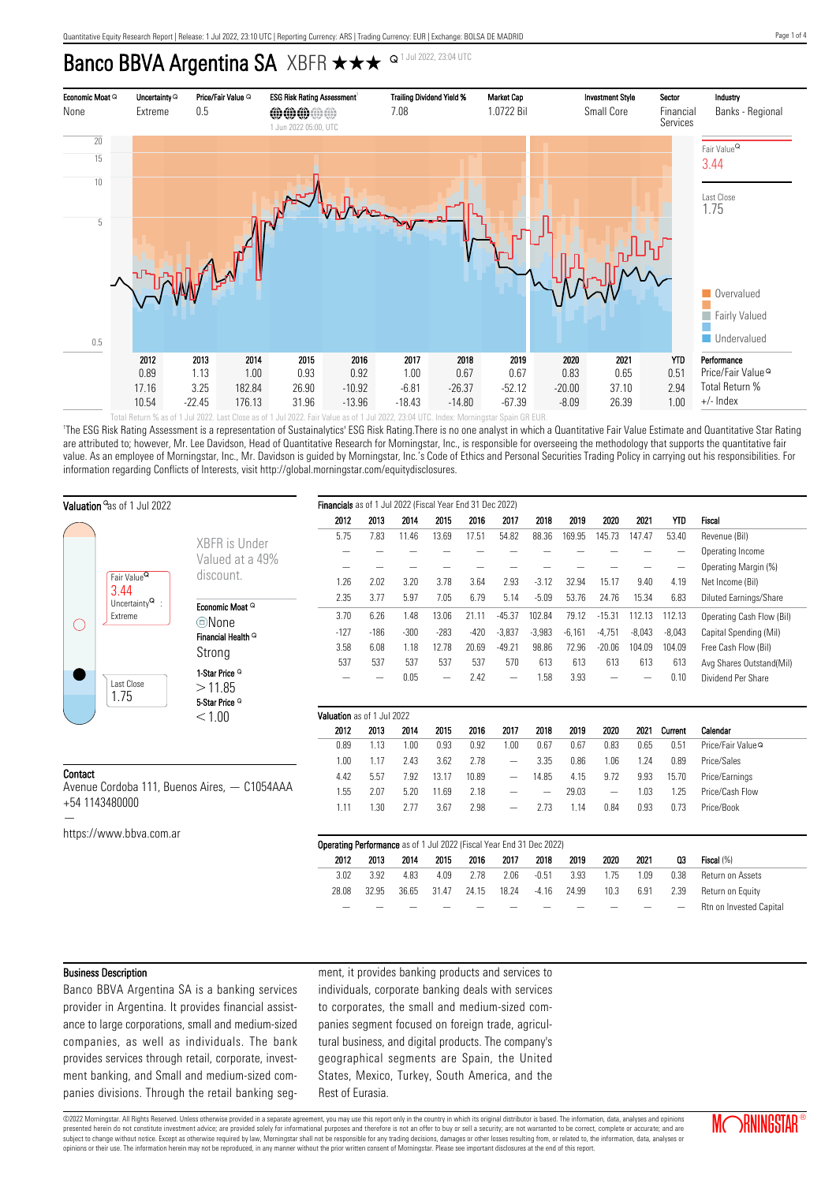# Banco BBVA Argentina SA XBFR  $\star\star\star$  <sup>Q 1 Jul 2022, 23:04 UTC</sup>



'The ESG Risk Rating Assessment is a representation of Sustainalytics' ESG Risk Rating.There is no one analyst in which a Quantitative Fair Value Estimate and Quantitative Star Rating are attributed to; however, Mr. Lee Davidson, Head of Quantitative Research for Morningstar, Inc., is responsible for overseeing the methodology that supports the quantitative fair value. As an employee of Morningstar, Inc., Mr. Davidson is guided by Morningstar, Inc.'s Code of Ethics and Personal Securities Trading Policy in carrying out his responsibilities. For information regarding Conflicts of Interests, visit http://global.morningstar.com/equitydisclosures.

| Valuation <sup>a</sup> as of 1 Jul 2022                                   |                                                                             |                               | Financials as of 1 Jul 2022 (Fiscal Year End 31 Dec 2022)                   |        |        |                          |        |                          |          |          |          |          |            |                               |
|---------------------------------------------------------------------------|-----------------------------------------------------------------------------|-------------------------------|-----------------------------------------------------------------------------|--------|--------|--------------------------|--------|--------------------------|----------|----------|----------|----------|------------|-------------------------------|
|                                                                           |                                                                             |                               | 2012                                                                        | 2013   | 2014   | 2015                     | 2016   | 2017                     | 2018     | 2019     | 2020     | 2021     | <b>YTD</b> | Fiscal                        |
|                                                                           |                                                                             |                               | 5.75                                                                        | 7.83   | 11.46  | 13.69                    | 17.51  | 54.82                    | 88.36    | 169.95   | 145.73   | 147.47   | 53.40      | Revenue (Bil)                 |
|                                                                           |                                                                             | XBFR is Under                 |                                                                             |        |        |                          |        |                          |          |          |          |          |            | Operating Income              |
|                                                                           | Fair Value <sup>Q</sup><br>3.44<br>Uncertainty $^{\mathsf{Q}}$ :<br>Extreme | Valued at a 49%               |                                                                             |        |        |                          |        |                          |          |          |          |          |            | Operating Margin (%)          |
|                                                                           |                                                                             | discount.                     | 1.26                                                                        | 2.02   | 3.20   | 3.78                     | 3.64   | 2.93                     | $-3.12$  | 32.94    | 15.17    | 9.40     | 4.19       | Net Income (Bil)              |
| O                                                                         |                                                                             |                               | 2.35                                                                        | 3.77   | 5.97   | 7.05                     | 6.79   | 5.14                     | $-5.09$  | 53.76    | 24.76    | 15.34    | 6.83       | <b>Diluted Earnings/Share</b> |
|                                                                           |                                                                             | Economic Moat Q               | 3.70                                                                        | 6.26   | 1.48   | 13.06                    | 21.11  | $-45.37$                 | 102.84   | 79.12    | $-15.31$ | 112.13   | 112.13     | Operating Cash Flow (Bil)     |
|                                                                           |                                                                             | ©None                         | $-127$                                                                      | $-186$ | $-300$ | $-283$                   | $-420$ | $-3,837$                 | $-3,983$ | $-6,161$ | $-4,751$ | $-8,043$ | $-8,043$   | Capital Spending (Mil)        |
|                                                                           |                                                                             | Financial Health <sup>Q</sup> | 3.58                                                                        | 6.08   | 1.18   | 12.78                    | 20.69  | $-49.21$                 | 98.86    | 72.96    | $-20.06$ | 104.09   | 104.09     | Free Cash Flow (Bil)          |
|                                                                           |                                                                             | Strong                        | 537                                                                         | 537    | 537    | 537                      | 537    | 570                      | 613      | 613      | 613      | 613      | 613        | Avg Shares Outstand(Mil)      |
|                                                                           |                                                                             | 1-Star Price <sup>Q</sup>     |                                                                             |        | 0.05   | $\overline{\phantom{0}}$ | 2.42   | $\overline{\phantom{0}}$ | 1.58     | 3.93     |          |          | 0.10       | Dividend Per Share            |
|                                                                           | Last Close                                                                  | >11.85                        |                                                                             |        |        |                          |        |                          |          |          |          |          |            |                               |
|                                                                           | 1.75                                                                        | 5-Star Price <sup>Q</sup>     |                                                                             |        |        |                          |        |                          |          |          |          |          |            |                               |
|                                                                           |                                                                             | < 1.00                        | Valuation as of 1 Jul 2022                                                  |        |        |                          |        |                          |          |          |          |          |            |                               |
|                                                                           |                                                                             |                               | 2012                                                                        | 2013   | 2014   | 2015                     | 2016   | 2017                     | 2018     | 2019     | 2020     | 2021     | Current    | Calendar                      |
|                                                                           |                                                                             |                               | 0.89                                                                        | 1.13   | 1.00   | 0.93                     | 0.92   | 1.00                     | 0.67     | 0.67     | 0.83     | 0.65     | 0.51       | Price/Fair Value <sup>Q</sup> |
|                                                                           |                                                                             |                               | 1.00                                                                        | 1.17   | 2.43   | 3.62                     | 2.78   | $\overline{\phantom{0}}$ | 3.35     | 0.86     | 1.06     | 1.24     | 0.89       | Price/Sales                   |
| Contact<br>Avenue Cordoba 111, Buenos Aires, - C1054AAA<br>+54 1143480000 |                                                                             |                               | 4.42                                                                        | 5.57   | 7.92   | 13.17                    | 10.89  | $\overline{\phantom{0}}$ | 14.85    | 4.15     | 9.72     | 9.93     | 15.70      | Price/Earnings                |
|                                                                           |                                                                             |                               | 1.55                                                                        | 2.07   | 5.20   | 11.69                    | 2.18   |                          |          | 29.03    |          | 1.03     | 1.25       | Price/Cash Flow               |
|                                                                           |                                                                             |                               | 1.11                                                                        | 1.30   | 2.77   | 3.67                     | 2.98   |                          | 2.73     | 1.14     | 0.84     | 0.93     | 0.73       | Price/Book                    |
|                                                                           |                                                                             |                               |                                                                             |        |        |                          |        |                          |          |          |          |          |            |                               |
|                                                                           | https://www.bbva.com.ar                                                     |                               | <b>Operating Performance</b> as of 1 Jul 2022 (Fiscal Year End 31 Dec 2022) |        |        |                          |        |                          |          |          |          |          |            |                               |
|                                                                           |                                                                             | 2012                          | 2013                                                                        | 2014   | 2015   | 2016                     | 2017   | 2018                     | 2019     | 2020     | 2021     | Q3       | Fiscal (%) |                               |
|                                                                           |                                                                             |                               | 3.02                                                                        | 3.92   | 4.83   | 4.09                     | 2.78   | 2.06                     | $-0.51$  | 3.93     | 1.75     | 1.09     | 0.38       | Return on Assets              |
|                                                                           |                                                                             |                               | 28.08                                                                       | 32.95  | 36.65  | 31.47                    | 24.15  | 18.24                    | $-4.16$  | 24.99    | 10.3     | 6.91     | 2.39       | Return on Equity              |
|                                                                           |                                                                             |                               |                                                                             |        |        |                          |        |                          |          |          |          |          |            | Rtn on Invested Capital       |

#### Business Description

Banco BBVA Argentina SA is a banking services provider in Argentina. It provides financial assistance to large corporations, small and medium-sized companies, as well as individuals. The bank provides services through retail, corporate, investment banking, and Small and medium-sized companies divisions. Through the retail banking segment, it provides banking products and services to individuals, corporate banking deals with services to corporates, the small and medium-sized companies segment focused on foreign trade, agricultural business, and digital products. The company's geographical segments are Spain, the United States, Mexico, Turkey, South America, and the Rest of Eurasia.

©2022 Morningstar. All Rights Reserved. Unless otherwise provided in a separate agreement, you may use this report only in the country in which its original distributor is based. The information, data, analyses and opinions presented herein do not constitute investment advice; are provided solely for informational purposes and therefore is not an offer to buy or sell a security; are not warranted to be correct, complete or accurate; and are subject to change without notice. Except as otherwise required by law, Morningstar shall not be responsible for any trading decisions, damages or other losses resulting from, or related to, the information, data, analyses opinions or their use. The information herein may not be reproduced, in any manner without the prior written consent of Morningstar. Please see important disclosures at the end of this report.

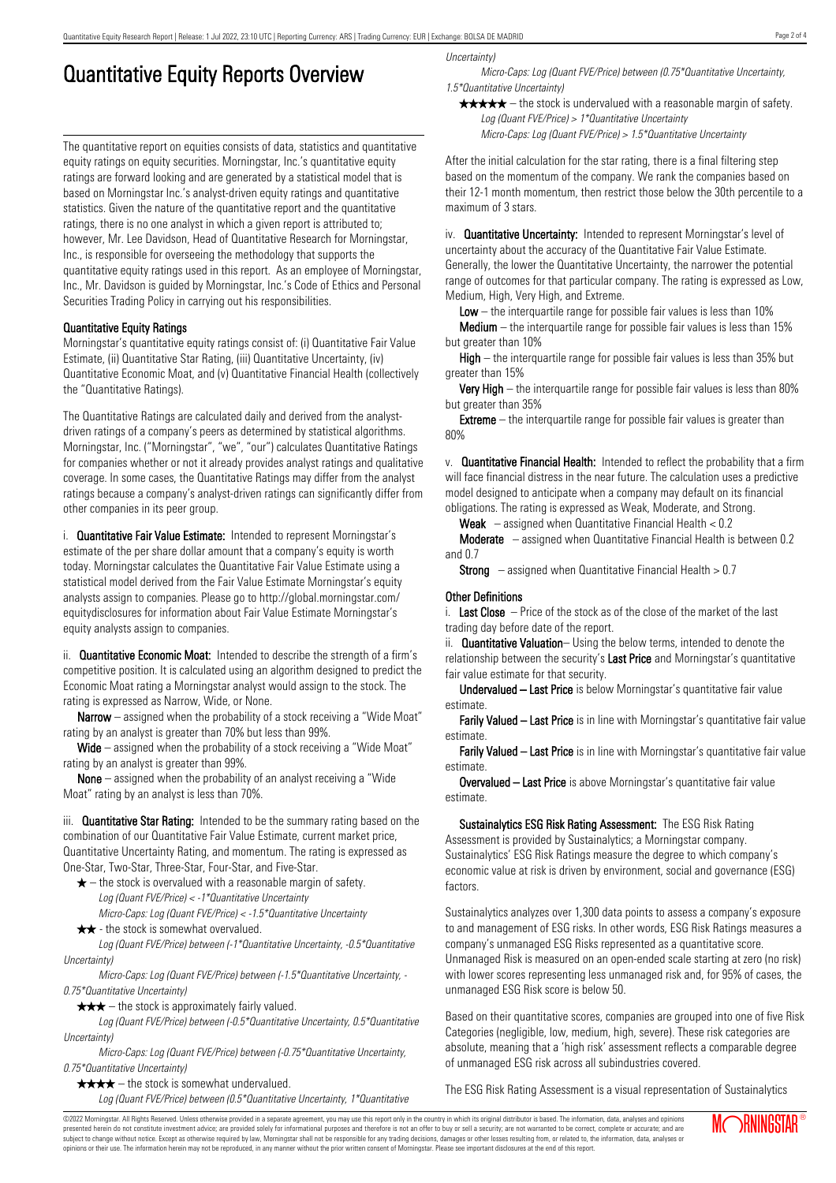# Quantitative Equity Reports Overview

The quantitative report on equities consists of data, statistics and quantitative equity ratings on equity securities. Morningstar, Inc.'s quantitative equity ratings are forward looking and are generated by a statistical model that is based on Morningstar Inc.'s analyst-driven equity ratings and quantitative statistics. Given the nature of the quantitative report and the quantitative ratings, there is no one analyst in which a given report is attributed to; however, Mr. Lee Davidson, Head of Quantitative Research for Morningstar, Inc., is responsible for overseeing the methodology that supports the quantitative equity ratings used in this report. As an employee of Morningstar, Inc., Mr. Davidson is guided by Morningstar, Inc.'s Code of Ethics and Personal Securities Trading Policy in carrying out his responsibilities.

## Quantitative Equity Ratings

Morningstar's quantitative equity ratings consist of: (i) Quantitative Fair Value Estimate, (ii) Quantitative Star Rating, (iii) Quantitative Uncertainty, (iv) Quantitative Economic Moat, and (v) Quantitative Financial Health (collectively the "Quantitative Ratings).

The Quantitative Ratings are calculated daily and derived from the analystdriven ratings of a company's peers as determined by statistical algorithms. Morningstar, Inc. ("Morningstar", "we", "our") calculates Quantitative Ratings for companies whether or not it already provides analyst ratings and qualitative coverage. In some cases, the Quantitative Ratings may differ from the analyst ratings because a company's analyst-driven ratings can significantly differ from other companies in its peer group.

i. **Quantitative Fair Value Estimate:** Intended to represent Morningstar's estimate of the per share dollar amount that a company's equity is worth today. Morningstar calculates the Quantitative Fair Value Estimate using a statistical model derived from the Fair Value Estimate Morningstar's equity analysts assign to companies. Please go to http://global.morningstar.com/ equitydisclosures for information about Fair Value Estimate Morningstar's equity analysts assign to companies.

ii. **Quantitative Economic Moat:** Intended to describe the strength of a firm's competitive position. It is calculated using an algorithm designed to predict the Economic Moat rating a Morningstar analyst would assign to the stock. The rating is expressed as Narrow, Wide, or None.

**Narrow** – assigned when the probability of a stock receiving a "Wide Moat" rating by an analyst is greater than 70% but less than 99%.

Wide – assigned when the probability of a stock receiving a "Wide Moat" rating by an analyst is greater than 99%.

None – assigned when the probability of an analyst receiving a "Wide Moat" rating by an analyst is less than 70%.

iii. **Quantitative Star Rating:** Intended to be the summary rating based on the combination of our Quantitative Fair Value Estimate, current market price, Quantitative Uncertainty Rating, and momentum. The rating is expressed as One-Star, Two-Star, Three-Star, Four-Star, and Five-Star.

- $\star$  the stock is overvalued with a reasonable margin of safety. Log (Quant FVE/Price) < -1\*Quantitative Uncertainty
- Micro-Caps: Log (Quant FVE/Price) < -1.5\*Quantitative Uncertainty  $\star \star$  - the stock is somewhat overvalued.

Log (Quant FVE/Price) between (-1\*Quantitative Uncertainty, -0.5\*Quantitative Uncertainty)

Micro-Caps: Log (Quant FVE/Price) between (-1.5\*Quantitative Uncertainty, - 0.75\*Quantitative Uncertainty)

 $\star \star \star$  – the stock is approximately fairly valued.

Log (Quant FVE/Price) between (-0.5\*Quantitative Uncertainty, 0.5\*Quantitative Uncertainty)

Micro-Caps: Log (Quant FVE/Price) between (-0.75\*Quantitative Uncertainty, 0.75\*Quantitative Uncertainty)

 $\star \star \star \star$  – the stock is somewhat undervalued. Log (Quant FVE/Price) between (0.5\*Quantitative Uncertainty, 1\*Quantitative Uncertainty)

Micro-Caps: Log (Quant FVE/Price) between (0.75\*Quantitative Uncertainty, 1.5\*Quantitative Uncertainty)

 $\star \star \star \star$  – the stock is undervalued with a reasonable margin of safety. Log (Quant FVE/Price) > 1\*Quantitative Uncertainty

Micro-Caps: Log (Quant FVE/Price) > 1.5\*Quantitative Uncertainty

After the initial calculation for the star rating, there is a final filtering step based on the momentum of the company. We rank the companies based on their 12-1 month momentum, then restrict those below the 30th percentile to a maximum of 3 stars.

iv. **Quantitative Uncertainty:** Intended to represent Morningstar's level of uncertainty about the accuracy of the Quantitative Fair Value Estimate. Generally, the lower the Quantitative Uncertainty, the narrower the potential range of outcomes for that particular company. The rating is expressed as Low, Medium, High, Very High, and Extreme.

**Low** – the interguartile range for possible fair values is less than  $10\%$ 

**Medium** – the interquartile range for possible fair values is less than  $15\%$ but greater than 10%

High – the interquartile range for possible fair values is less than 35% but greater than 15%

Very High – the interquartile range for possible fair values is less than 80% but greater than 35%

**Extreme** – the interquartile range for possible fair values is greater than 80%

v. Quantitative Financial Health: Intended to reflect the probability that a firm will face financial distress in the near future. The calculation uses a predictive model designed to anticipate when a company may default on its financial obligations. The rating is expressed as Weak, Moderate, and Strong.

**Weak**  $-$  assigned when Quantitative Financial Health  $< 0.2$ 

Moderate – assigned when Quantitative Financial Health is between 0.2 and 0.7

**Strong** – assigned when Quantitative Financial Health  $> 0.7$ 

## Other Definitions

i. Last Close  $-$  Price of the stock as of the close of the market of the last trading day before date of the report.

ii. **Quantitative Valuation**– Using the below terms, intended to denote the relationship between the security's Last Price and Morningstar's quantitative fair value estimate for that security.

Undervalued – Last Price is below Morningstar's quantitative fair value estimate.

Farily Valued – Last Price is in line with Morningstar's quantitative fair value estimate.

Farily Valued – Last Price is in line with Morningstar's quantitative fair value estimate.

Overvalued – Last Price is above Morningstar's quantitative fair value estimate.

Sustainalytics ESG Risk Rating Assessment: The ESG Risk Rating Assessment is provided by Sustainalytics; a Morningstar company. Sustainalytics' ESG Risk Ratings measure the degree to which company's economic value at risk is driven by environment, social and governance (ESG) factors.

Sustainalytics analyzes over 1,300 data points to assess a company's exposure to and management of ESG risks. In other words, ESG Risk Ratings measures a company's unmanaged ESG Risks represented as a quantitative score. Unmanaged Risk is measured on an open-ended scale starting at zero (no risk) with lower scores representing less unmanaged risk and, for 95% of cases, the unmanaged ESG Risk score is below 50.

Based on their quantitative scores, companies are grouped into one of five Risk Categories (negligible, low, medium, high, severe). These risk categories are absolute, meaning that a 'high risk' assessment reflects a comparable degree of unmanaged ESG risk across all subindustries covered.

The ESG Risk Rating Assessment is a visual representation of Sustainalytics

Page 2 of 4

©2022 Morningstar. All Rights Reserved. Unless otherwise provided in a separate agreement, you may use this report only in the country in which its original distributor is based. The information, data, analyses and opinions presented herein do not constitute investment advice; are provided solely for informational purposes and therefore is not an offer to buy or sell a security; are not warranted to be correct, complete or accurate; and are subject to change without notice. Except as otherwise required by law, Morningstar shall not be responsible for any trading decisions, damages or other losses resulting from, or related to, the information, data, analyses or opinions or their use. The information herein may not be reproduced, in any manner without the prior written consent of Morningstar. Please see important disclosures at the end of this report.

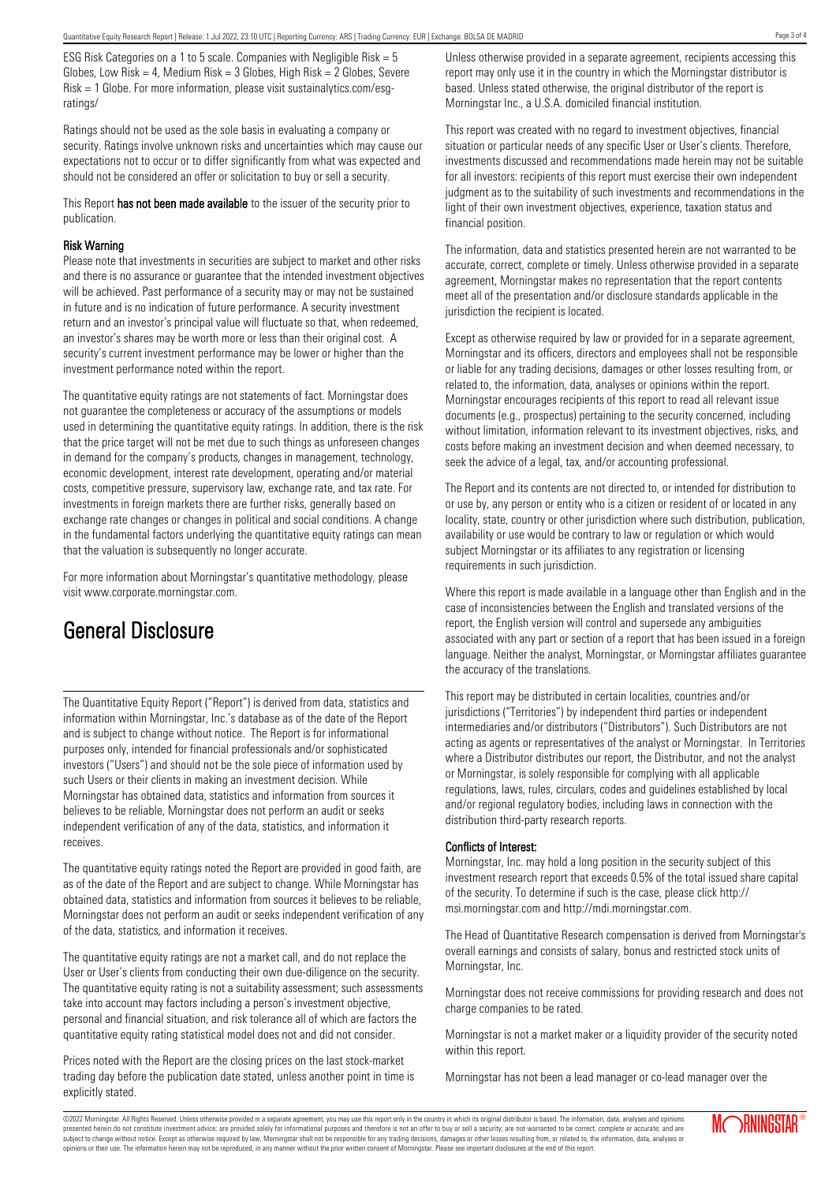ESG Risk Categories on a 1 to 5 scale. Companies with Negligible Risk = 5 Globes, Low Risk = 4, Medium Risk =  $3$  Globes, High Risk =  $2$  Globes, Severe Risk = 1 Globe. For more information, please visit sustainalytics.com/esgratings/

Ratings should not be used as the sole basis in evaluating a company or security. Ratings involve unknown risks and uncertainties which may cause our expectations not to occur or to differ significantly from what was expected and should not be considered an offer or solicitation to buy or sell a security.

This Report has not been made available to the issuer of the security prior to publication.

#### Risk Warning

Please note that investments in securities are subject to market and other risks and there is no assurance or guarantee that the intended investment objectives will be achieved. Past performance of a security may or may not be sustained in future and is no indication of future performance. A security investment return and an investor's principal value will fluctuate so that, when redeemed, an investor's shares may be worth more or less than their original cost. A security's current investment performance may be lower or higher than the investment performance noted within the report.

The quantitative equity ratings are not statements of fact. Morningstar does not guarantee the completeness or accuracy of the assumptions or models used in determining the quantitative equity ratings. In addition, there is the risk that the price target will not be met due to such things as unforeseen changes in demand for the company's products, changes in management, technology, economic development, interest rate development, operating and/or material costs, competitive pressure, supervisory law, exchange rate, and tax rate. For investments in foreign markets there are further risks, generally based on exchange rate changes or changes in political and social conditions. A change in the fundamental factors underlying the quantitative equity ratings can mean that the valuation is subsequently no longer accurate.

For more information about Morningstar's quantitative methodology, please visit www.corporate.morningstar.com.

# General Disclosure

The Quantitative Equity Report ("Report") is derived from data, statistics and information within Morningstar, Inc.'s database as of the date of the Report and is subject to change without notice. The Report is for informational purposes only, intended for financial professionals and/or sophisticated investors ("Users") and should not be the sole piece of information used by such Users or their clients in making an investment decision. While Morningstar has obtained data, statistics and information from sources it believes to be reliable, Morningstar does not perform an audit or seeks independent verification of any of the data, statistics, and information it receives.

The quantitative equity ratings noted the Report are provided in good faith, are as of the date of the Report and are subject to change. While Morningstar has obtained data, statistics and information from sources it believes to be reliable, Morningstar does not perform an audit or seeks independent verification of any of the data, statistics, and information it receives.

The quantitative equity ratings are not a market call, and do not replace the User or User's clients from conducting their own due-diligence on the security. The quantitative equity rating is not a suitability assessment; such assessments take into account may factors including a person's investment objective, personal and financial situation, and risk tolerance all of which are factors the quantitative equity rating statistical model does not and did not consider.

Prices noted with the Report are the closing prices on the last stock-market trading day before the publication date stated, unless another point in time is explicitly stated.

Unless otherwise provided in a separate agreement, recipients accessing this report may only use it in the country in which the Morningstar distributor is based. Unless stated otherwise, the original distributor of the report is Morningstar Inc., a U.S.A. domiciled financial institution.

This report was created with no regard to investment objectives, financial situation or particular needs of any specific User or User's clients. Therefore, investments discussed and recommendations made herein may not be suitable for all investors: recipients of this report must exercise their own independent judgment as to the suitability of such investments and recommendations in the light of their own investment objectives, experience, taxation status and financial position.

The information, data and statistics presented herein are not warranted to be accurate, correct, complete or timely. Unless otherwise provided in a separate agreement, Morningstar makes no representation that the report contents meet all of the presentation and/or disclosure standards applicable in the jurisdiction the recipient is located.

Except as otherwise required by law or provided for in a separate agreement, Morningstar and its officers, directors and employees shall not be responsible or liable for any trading decisions, damages or other losses resulting from, or related to, the information, data, analyses or opinions within the report. Morningstar encourages recipients of this report to read all relevant issue documents (e.g., prospectus) pertaining to the security concerned, including without limitation, information relevant to its investment objectives, risks, and costs before making an investment decision and when deemed necessary, to seek the advice of a legal, tax, and/or accounting professional.

The Report and its contents are not directed to, or intended for distribution to or use by, any person or entity who is a citizen or resident of or located in any locality, state, country or other jurisdiction where such distribution, publication, availability or use would be contrary to law or regulation or which would subject Morningstar or its affiliates to any registration or licensing requirements in such jurisdiction.

Where this report is made available in a language other than English and in the case of inconsistencies between the English and translated versions of the report, the English version will control and supersede any ambiguities associated with any part or section of a report that has been issued in a foreign language. Neither the analyst, Morningstar, or Morningstar affiliates guarantee the accuracy of the translations.

This report may be distributed in certain localities, countries and/or jurisdictions ("Territories") by independent third parties or independent intermediaries and/or distributors ("Distributors"). Such Distributors are not acting as agents or representatives of the analyst or Morningstar. In Territories where a Distributor distributes our report, the Distributor, and not the analyst or Morningstar, is solely responsible for complying with all applicable regulations, laws, rules, circulars, codes and guidelines established by local and/or regional regulatory bodies, including laws in connection with the distribution third-party research reports.

### Conflicts of Interest:

Morningstar, Inc. may hold a long position in the security subject of this investment research report that exceeds 0.5% of the total issued share capital of the security. To determine if such is the case, please click http:// msi.morningstar.com and http://mdi.morningstar.com.

The Head of Quantitative Research compensation is derived from Morningstar's overall earnings and consists of salary, bonus and restricted stock units of Morningstar, Inc.

Morningstar does not receive commissions for providing research and does not charge companies to be rated.

Morningstar is not a market maker or a liquidity provider of the security noted within this report.

Morningstar has not been a lead manager or co-lead manager over the